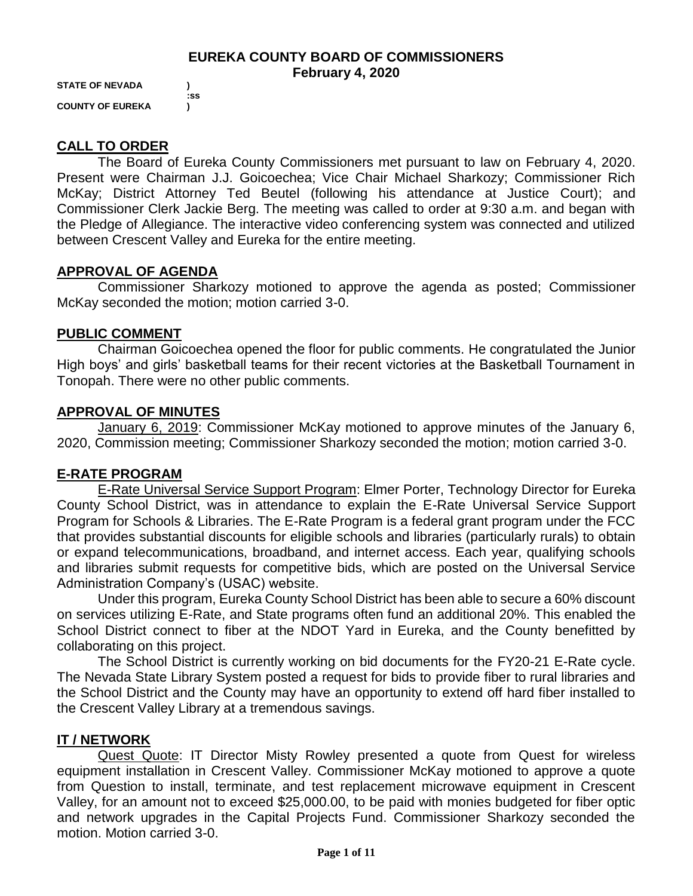### **EUREKA COUNTY BOARD OF COMMISSIONERS February 4, 2020**

**STATE OF NEVADA ) COUNTY OF EUREKA )**

 **:ss**

## **CALL TO ORDER**

The Board of Eureka County Commissioners met pursuant to law on February 4, 2020. Present were Chairman J.J. Goicoechea; Vice Chair Michael Sharkozy; Commissioner Rich McKay; District Attorney Ted Beutel (following his attendance at Justice Court); and Commissioner Clerk Jackie Berg. The meeting was called to order at 9:30 a.m. and began with the Pledge of Allegiance. The interactive video conferencing system was connected and utilized between Crescent Valley and Eureka for the entire meeting.

### **APPROVAL OF AGENDA**

Commissioner Sharkozy motioned to approve the agenda as posted; Commissioner McKay seconded the motion; motion carried 3-0.

### **PUBLIC COMMENT**

Chairman Goicoechea opened the floor for public comments. He congratulated the Junior High boys' and girls' basketball teams for their recent victories at the Basketball Tournament in Tonopah. There were no other public comments.

### **APPROVAL OF MINUTES**

January 6, 2019: Commissioner McKay motioned to approve minutes of the January 6, 2020, Commission meeting; Commissioner Sharkozy seconded the motion; motion carried 3-0.

## **E-RATE PROGRAM**

E-Rate Universal Service Support Program: Elmer Porter, Technology Director for Eureka County School District, was in attendance to explain the E-Rate Universal Service Support Program for Schools & Libraries. The E-Rate Program is a federal grant program under the FCC that provides substantial discounts for eligible schools and libraries (particularly rurals) to obtain or expand telecommunications, broadband, and internet access. Each year, qualifying schools and libraries submit requests for competitive bids, which are posted on the Universal Service Administration Company's (USAC) website.

Under this program, Eureka County School District has been able to secure a 60% discount on services utilizing E-Rate, and State programs often fund an additional 20%. This enabled the School District connect to fiber at the NDOT Yard in Eureka, and the County benefitted by collaborating on this project.

The School District is currently working on bid documents for the FY20-21 E-Rate cycle. The Nevada State Library System posted a request for bids to provide fiber to rural libraries and the School District and the County may have an opportunity to extend off hard fiber installed to the Crescent Valley Library at a tremendous savings.

## **IT / NETWORK**

Quest Quote: IT Director Misty Rowley presented a quote from Quest for wireless equipment installation in Crescent Valley. Commissioner McKay motioned to approve a quote from Question to install, terminate, and test replacement microwave equipment in Crescent Valley, for an amount not to exceed \$25,000.00, to be paid with monies budgeted for fiber optic and network upgrades in the Capital Projects Fund. Commissioner Sharkozy seconded the motion. Motion carried 3-0.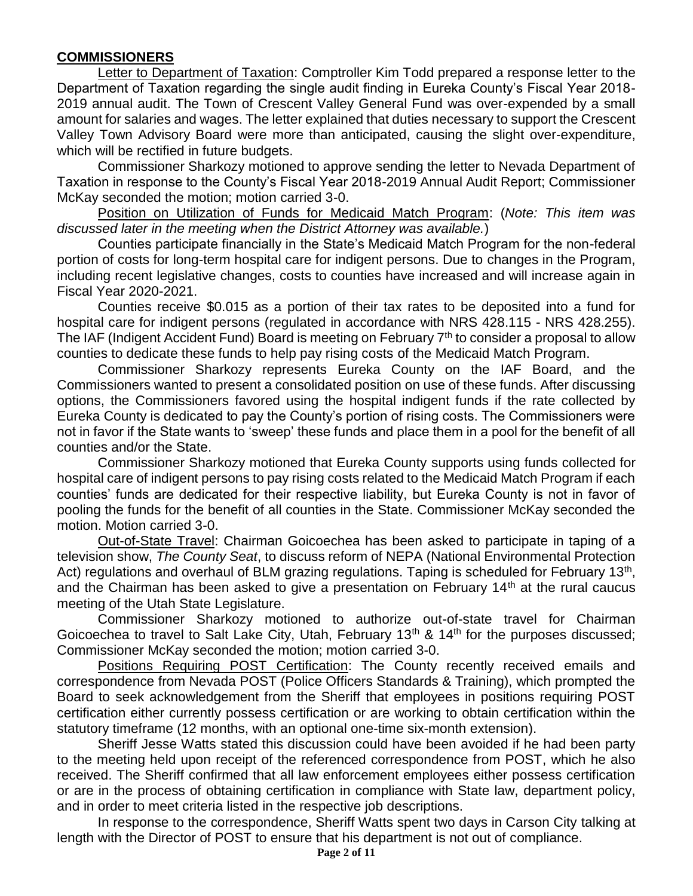### **COMMISSIONERS**

Letter to Department of Taxation: Comptroller Kim Todd prepared a response letter to the Department of Taxation regarding the single audit finding in Eureka County's Fiscal Year 2018- 2019 annual audit. The Town of Crescent Valley General Fund was over-expended by a small amount for salaries and wages. The letter explained that duties necessary to support the Crescent Valley Town Advisory Board were more than anticipated, causing the slight over-expenditure, which will be rectified in future budgets.

Commissioner Sharkozy motioned to approve sending the letter to Nevada Department of Taxation in response to the County's Fiscal Year 2018-2019 Annual Audit Report; Commissioner McKay seconded the motion; motion carried 3-0.

Position on Utilization of Funds for Medicaid Match Program: (*Note: This item was discussed later in the meeting when the District Attorney was available.*)

Counties participate financially in the State's Medicaid Match Program for the non-federal portion of costs for long-term hospital care for indigent persons. Due to changes in the Program, including recent legislative changes, costs to counties have increased and will increase again in Fiscal Year 2020-2021.

Counties receive \$0.015 as a portion of their tax rates to be deposited into a fund for hospital care for indigent persons (regulated in accordance with NRS 428.115 - NRS 428.255). The IAF (Indigent Accident Fund) Board is meeting on February  $7<sup>th</sup>$  to consider a proposal to allow counties to dedicate these funds to help pay rising costs of the Medicaid Match Program.

Commissioner Sharkozy represents Eureka County on the IAF Board, and the Commissioners wanted to present a consolidated position on use of these funds. After discussing options, the Commissioners favored using the hospital indigent funds if the rate collected by Eureka County is dedicated to pay the County's portion of rising costs. The Commissioners were not in favor if the State wants to 'sweep' these funds and place them in a pool for the benefit of all counties and/or the State.

Commissioner Sharkozy motioned that Eureka County supports using funds collected for hospital care of indigent persons to pay rising costs related to the Medicaid Match Program if each counties' funds are dedicated for their respective liability, but Eureka County is not in favor of pooling the funds for the benefit of all counties in the State. Commissioner McKay seconded the motion. Motion carried 3-0.

Out-of-State Travel: Chairman Goicoechea has been asked to participate in taping of a television show, *The County Seat*, to discuss reform of NEPA (National Environmental Protection Act) regulations and overhaul of BLM grazing regulations. Taping is scheduled for February 13<sup>th</sup>, and the Chairman has been asked to give a presentation on February  $14<sup>th</sup>$  at the rural caucus meeting of the Utah State Legislature.

Commissioner Sharkozy motioned to authorize out-of-state travel for Chairman Goicoechea to travel to Salt Lake City, Utah, February  $13<sup>th</sup>$  &  $14<sup>th</sup>$  for the purposes discussed; Commissioner McKay seconded the motion; motion carried 3-0.

Positions Requiring POST Certification: The County recently received emails and correspondence from Nevada POST (Police Officers Standards & Training), which prompted the Board to seek acknowledgement from the Sheriff that employees in positions requiring POST certification either currently possess certification or are working to obtain certification within the statutory timeframe (12 months, with an optional one-time six-month extension).

Sheriff Jesse Watts stated this discussion could have been avoided if he had been party to the meeting held upon receipt of the referenced correspondence from POST, which he also received. The Sheriff confirmed that all law enforcement employees either possess certification or are in the process of obtaining certification in compliance with State law, department policy, and in order to meet criteria listed in the respective job descriptions.

In response to the correspondence, Sheriff Watts spent two days in Carson City talking at length with the Director of POST to ensure that his department is not out of compliance.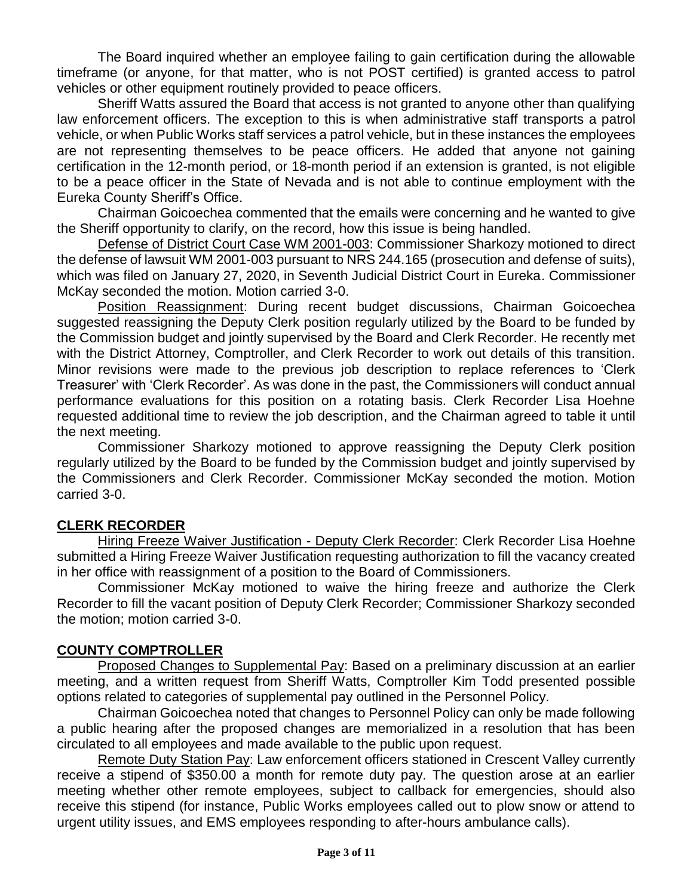The Board inquired whether an employee failing to gain certification during the allowable timeframe (or anyone, for that matter, who is not POST certified) is granted access to patrol vehicles or other equipment routinely provided to peace officers.

Sheriff Watts assured the Board that access is not granted to anyone other than qualifying law enforcement officers. The exception to this is when administrative staff transports a patrol vehicle, or when Public Works staff services a patrol vehicle, but in these instances the employees are not representing themselves to be peace officers. He added that anyone not gaining certification in the 12-month period, or 18-month period if an extension is granted, is not eligible to be a peace officer in the State of Nevada and is not able to continue employment with the Eureka County Sheriff's Office.

Chairman Goicoechea commented that the emails were concerning and he wanted to give the Sheriff opportunity to clarify, on the record, how this issue is being handled.

Defense of District Court Case WM 2001-003: Commissioner Sharkozy motioned to direct the defense of lawsuit WM 2001-003 pursuant to NRS 244.165 (prosecution and defense of suits), which was filed on January 27, 2020, in Seventh Judicial District Court in Eureka. Commissioner McKay seconded the motion. Motion carried 3-0.

Position Reassignment: During recent budget discussions, Chairman Goicoechea suggested reassigning the Deputy Clerk position regularly utilized by the Board to be funded by the Commission budget and jointly supervised by the Board and Clerk Recorder. He recently met with the District Attorney, Comptroller, and Clerk Recorder to work out details of this transition. Minor revisions were made to the previous job description to replace references to 'Clerk Treasurer' with 'Clerk Recorder'. As was done in the past, the Commissioners will conduct annual performance evaluations for this position on a rotating basis. Clerk Recorder Lisa Hoehne requested additional time to review the job description, and the Chairman agreed to table it until the next meeting.

Commissioner Sharkozy motioned to approve reassigning the Deputy Clerk position regularly utilized by the Board to be funded by the Commission budget and jointly supervised by the Commissioners and Clerk Recorder. Commissioner McKay seconded the motion. Motion carried 3-0.

# **CLERK RECORDER**

Hiring Freeze Waiver Justification - Deputy Clerk Recorder: Clerk Recorder Lisa Hoehne submitted a Hiring Freeze Waiver Justification requesting authorization to fill the vacancy created in her office with reassignment of a position to the Board of Commissioners.

Commissioner McKay motioned to waive the hiring freeze and authorize the Clerk Recorder to fill the vacant position of Deputy Clerk Recorder; Commissioner Sharkozy seconded the motion; motion carried 3-0.

## **COUNTY COMPTROLLER**

Proposed Changes to Supplemental Pay: Based on a preliminary discussion at an earlier meeting, and a written request from Sheriff Watts, Comptroller Kim Todd presented possible options related to categories of supplemental pay outlined in the Personnel Policy.

Chairman Goicoechea noted that changes to Personnel Policy can only be made following a public hearing after the proposed changes are memorialized in a resolution that has been circulated to all employees and made available to the public upon request.

Remote Duty Station Pay: Law enforcement officers stationed in Crescent Valley currently receive a stipend of \$350.00 a month for remote duty pay. The question arose at an earlier meeting whether other remote employees, subject to callback for emergencies, should also receive this stipend (for instance, Public Works employees called out to plow snow or attend to urgent utility issues, and EMS employees responding to after-hours ambulance calls).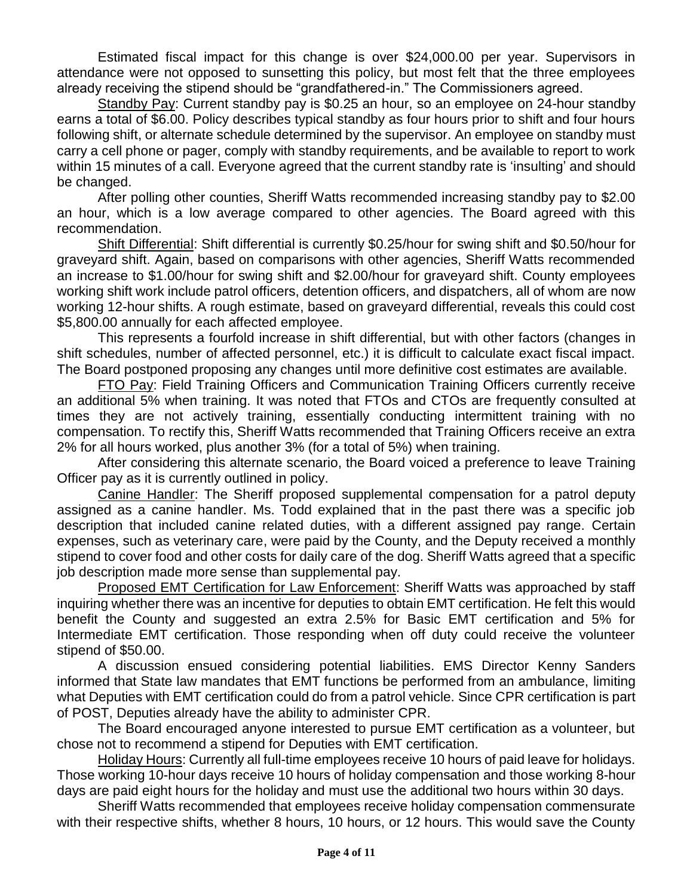Estimated fiscal impact for this change is over \$24,000.00 per year. Supervisors in attendance were not opposed to sunsetting this policy, but most felt that the three employees already receiving the stipend should be "grandfathered-in." The Commissioners agreed.

Standby Pay: Current standby pay is \$0.25 an hour, so an employee on 24-hour standby earns a total of \$6.00. Policy describes typical standby as four hours prior to shift and four hours following shift, or alternate schedule determined by the supervisor. An employee on standby must carry a cell phone or pager, comply with standby requirements, and be available to report to work within 15 minutes of a call. Everyone agreed that the current standby rate is 'insulting' and should be changed.

After polling other counties, Sheriff Watts recommended increasing standby pay to \$2.00 an hour, which is a low average compared to other agencies. The Board agreed with this recommendation.

Shift Differential: Shift differential is currently \$0.25/hour for swing shift and \$0.50/hour for graveyard shift. Again, based on comparisons with other agencies, Sheriff Watts recommended an increase to \$1.00/hour for swing shift and \$2.00/hour for graveyard shift. County employees working shift work include patrol officers, detention officers, and dispatchers, all of whom are now working 12-hour shifts. A rough estimate, based on graveyard differential, reveals this could cost \$5,800.00 annually for each affected employee.

This represents a fourfold increase in shift differential, but with other factors (changes in shift schedules, number of affected personnel, etc.) it is difficult to calculate exact fiscal impact. The Board postponed proposing any changes until more definitive cost estimates are available.

**FTO Pay: Field Training Officers and Communication Training Officers currently receive** an additional 5% when training. It was noted that FTOs and CTOs are frequently consulted at times they are not actively training, essentially conducting intermittent training with no compensation. To rectify this, Sheriff Watts recommended that Training Officers receive an extra 2% for all hours worked, plus another 3% (for a total of 5%) when training.

After considering this alternate scenario, the Board voiced a preference to leave Training Officer pay as it is currently outlined in policy.

Canine Handler: The Sheriff proposed supplemental compensation for a patrol deputy assigned as a canine handler. Ms. Todd explained that in the past there was a specific job description that included canine related duties, with a different assigned pay range. Certain expenses, such as veterinary care, were paid by the County, and the Deputy received a monthly stipend to cover food and other costs for daily care of the dog. Sheriff Watts agreed that a specific job description made more sense than supplemental pay.

Proposed EMT Certification for Law Enforcement: Sheriff Watts was approached by staff inquiring whether there was an incentive for deputies to obtain EMT certification. He felt this would benefit the County and suggested an extra 2.5% for Basic EMT certification and 5% for Intermediate EMT certification. Those responding when off duty could receive the volunteer stipend of \$50.00.

A discussion ensued considering potential liabilities. EMS Director Kenny Sanders informed that State law mandates that EMT functions be performed from an ambulance, limiting what Deputies with EMT certification could do from a patrol vehicle. Since CPR certification is part of POST, Deputies already have the ability to administer CPR.

The Board encouraged anyone interested to pursue EMT certification as a volunteer, but chose not to recommend a stipend for Deputies with EMT certification.

Holiday Hours: Currently all full-time employees receive 10 hours of paid leave for holidays. Those working 10-hour days receive 10 hours of holiday compensation and those working 8-hour days are paid eight hours for the holiday and must use the additional two hours within 30 days.

Sheriff Watts recommended that employees receive holiday compensation commensurate with their respective shifts, whether 8 hours, 10 hours, or 12 hours. This would save the County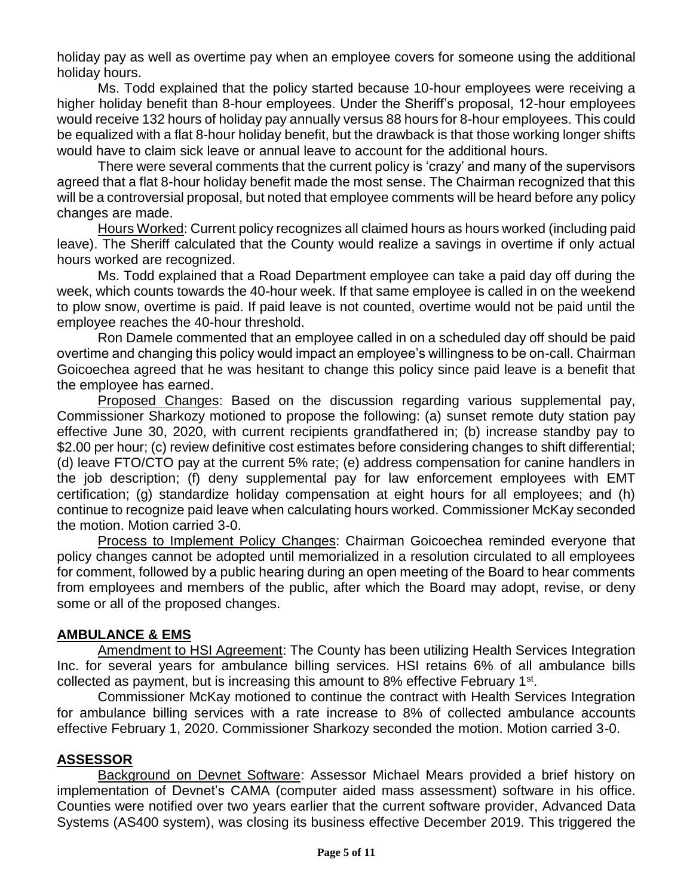holiday pay as well as overtime pay when an employee covers for someone using the additional holiday hours.

Ms. Todd explained that the policy started because 10-hour employees were receiving a higher holiday benefit than 8-hour employees. Under the Sheriff's proposal, 12-hour employees would receive 132 hours of holiday pay annually versus 88 hours for 8-hour employees. This could be equalized with a flat 8-hour holiday benefit, but the drawback is that those working longer shifts would have to claim sick leave or annual leave to account for the additional hours.

There were several comments that the current policy is 'crazy' and many of the supervisors agreed that a flat 8-hour holiday benefit made the most sense. The Chairman recognized that this will be a controversial proposal, but noted that employee comments will be heard before any policy changes are made.

Hours Worked: Current policy recognizes all claimed hours as hours worked (including paid leave). The Sheriff calculated that the County would realize a savings in overtime if only actual hours worked are recognized.

Ms. Todd explained that a Road Department employee can take a paid day off during the week, which counts towards the 40-hour week. If that same employee is called in on the weekend to plow snow, overtime is paid. If paid leave is not counted, overtime would not be paid until the employee reaches the 40-hour threshold.

Ron Damele commented that an employee called in on a scheduled day off should be paid overtime and changing this policy would impact an employee's willingness to be on-call. Chairman Goicoechea agreed that he was hesitant to change this policy since paid leave is a benefit that the employee has earned.

Proposed Changes: Based on the discussion regarding various supplemental pay, Commissioner Sharkozy motioned to propose the following: (a) sunset remote duty station pay effective June 30, 2020, with current recipients grandfathered in; (b) increase standby pay to \$2.00 per hour; (c) review definitive cost estimates before considering changes to shift differential; (d) leave FTO/CTO pay at the current 5% rate; (e) address compensation for canine handlers in the job description; (f) deny supplemental pay for law enforcement employees with EMT certification; (g) standardize holiday compensation at eight hours for all employees; and (h) continue to recognize paid leave when calculating hours worked. Commissioner McKay seconded the motion. Motion carried 3-0.

Process to Implement Policy Changes: Chairman Goicoechea reminded everyone that policy changes cannot be adopted until memorialized in a resolution circulated to all employees for comment, followed by a public hearing during an open meeting of the Board to hear comments from employees and members of the public, after which the Board may adopt, revise, or deny some or all of the proposed changes.

## **AMBULANCE & EMS**

Amendment to HSI Agreement: The County has been utilizing Health Services Integration Inc. for several years for ambulance billing services. HSI retains 6% of all ambulance bills collected as payment, but is increasing this amount to 8% effective February  $1<sup>st</sup>$ .

Commissioner McKay motioned to continue the contract with Health Services Integration for ambulance billing services with a rate increase to 8% of collected ambulance accounts effective February 1, 2020. Commissioner Sharkozy seconded the motion. Motion carried 3-0.

# **ASSESSOR**

Background on Devnet Software: Assessor Michael Mears provided a brief history on implementation of Devnet's CAMA (computer aided mass assessment) software in his office. Counties were notified over two years earlier that the current software provider, Advanced Data Systems (AS400 system), was closing its business effective December 2019. This triggered the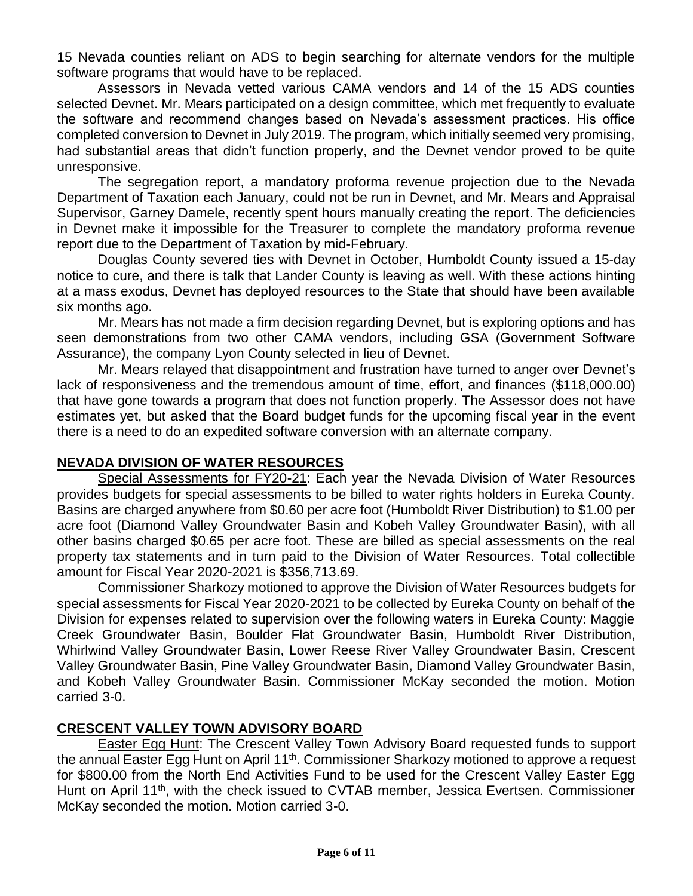15 Nevada counties reliant on ADS to begin searching for alternate vendors for the multiple software programs that would have to be replaced.

Assessors in Nevada vetted various CAMA vendors and 14 of the 15 ADS counties selected Devnet. Mr. Mears participated on a design committee, which met frequently to evaluate the software and recommend changes based on Nevada's assessment practices. His office completed conversion to Devnet in July 2019. The program, which initially seemed very promising, had substantial areas that didn't function properly, and the Devnet vendor proved to be quite unresponsive.

The segregation report, a mandatory proforma revenue projection due to the Nevada Department of Taxation each January, could not be run in Devnet, and Mr. Mears and Appraisal Supervisor, Garney Damele, recently spent hours manually creating the report. The deficiencies in Devnet make it impossible for the Treasurer to complete the mandatory proforma revenue report due to the Department of Taxation by mid-February.

Douglas County severed ties with Devnet in October, Humboldt County issued a 15-day notice to cure, and there is talk that Lander County is leaving as well. With these actions hinting at a mass exodus, Devnet has deployed resources to the State that should have been available six months ago.

Mr. Mears has not made a firm decision regarding Devnet, but is exploring options and has seen demonstrations from two other CAMA vendors, including GSA (Government Software Assurance), the company Lyon County selected in lieu of Devnet.

Mr. Mears relayed that disappointment and frustration have turned to anger over Devnet's lack of responsiveness and the tremendous amount of time, effort, and finances (\$118,000.00) that have gone towards a program that does not function properly. The Assessor does not have estimates yet, but asked that the Board budget funds for the upcoming fiscal year in the event there is a need to do an expedited software conversion with an alternate company.

# **NEVADA DIVISION OF WATER RESOURCES**

Special Assessments for FY20-21: Each year the Nevada Division of Water Resources provides budgets for special assessments to be billed to water rights holders in Eureka County. Basins are charged anywhere from \$0.60 per acre foot (Humboldt River Distribution) to \$1.00 per acre foot (Diamond Valley Groundwater Basin and Kobeh Valley Groundwater Basin), with all other basins charged \$0.65 per acre foot. These are billed as special assessments on the real property tax statements and in turn paid to the Division of Water Resources. Total collectible amount for Fiscal Year 2020-2021 is \$356,713.69.

Commissioner Sharkozy motioned to approve the Division of Water Resources budgets for special assessments for Fiscal Year 2020-2021 to be collected by Eureka County on behalf of the Division for expenses related to supervision over the following waters in Eureka County: Maggie Creek Groundwater Basin, Boulder Flat Groundwater Basin, Humboldt River Distribution, Whirlwind Valley Groundwater Basin, Lower Reese River Valley Groundwater Basin, Crescent Valley Groundwater Basin, Pine Valley Groundwater Basin, Diamond Valley Groundwater Basin, and Kobeh Valley Groundwater Basin. Commissioner McKay seconded the motion. Motion carried 3-0.

## **CRESCENT VALLEY TOWN ADVISORY BOARD**

Easter Egg Hunt: The Crescent Valley Town Advisory Board requested funds to support the annual Easter Egg Hunt on April 11<sup>th</sup>. Commissioner Sharkozy motioned to approve a request for \$800.00 from the North End Activities Fund to be used for the Crescent Valley Easter Egg Hunt on April 11th, with the check issued to CVTAB member, Jessica Evertsen. Commissioner McKay seconded the motion. Motion carried 3-0.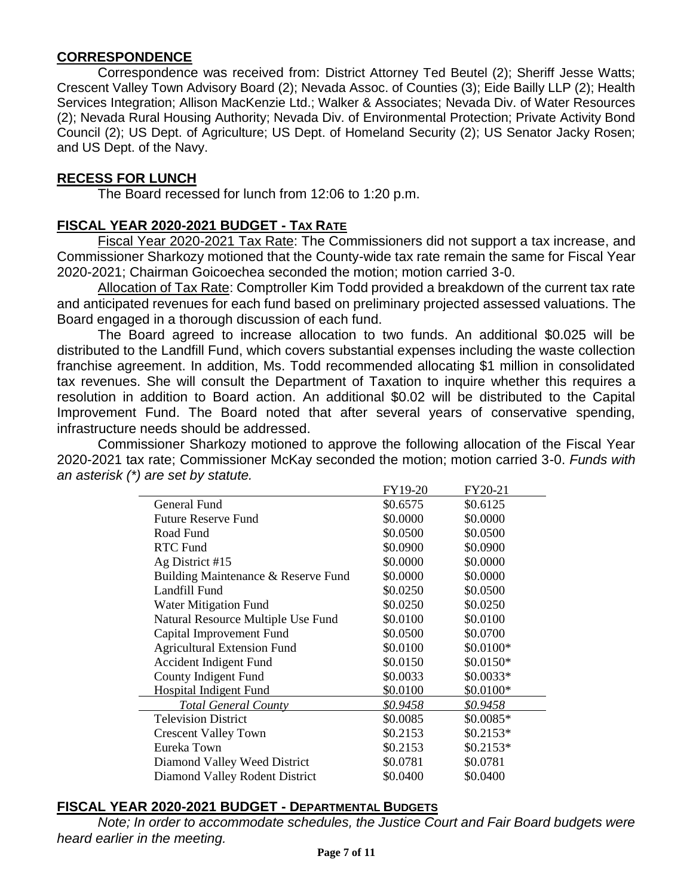### **CORRESPONDENCE**

Correspondence was received from: District Attorney Ted Beutel (2); Sheriff Jesse Watts; Crescent Valley Town Advisory Board (2); Nevada Assoc. of Counties (3); Eide Bailly LLP (2); Health Services Integration; Allison MacKenzie Ltd.; Walker & Associates; Nevada Div. of Water Resources (2); Nevada Rural Housing Authority; Nevada Div. of Environmental Protection; Private Activity Bond Council (2); US Dept. of Agriculture; US Dept. of Homeland Security (2); US Senator Jacky Rosen; and US Dept. of the Navy.

#### **RECESS FOR LUNCH**

The Board recessed for lunch from 12:06 to 1:20 p.m.

### **FISCAL YEAR 2020-2021 BUDGET - TAX RATE**

Fiscal Year 2020-2021 Tax Rate: The Commissioners did not support a tax increase, and Commissioner Sharkozy motioned that the County-wide tax rate remain the same for Fiscal Year 2020-2021; Chairman Goicoechea seconded the motion; motion carried 3-0.

Allocation of Tax Rate: Comptroller Kim Todd provided a breakdown of the current tax rate and anticipated revenues for each fund based on preliminary projected assessed valuations. The Board engaged in a thorough discussion of each fund.

The Board agreed to increase allocation to two funds. An additional \$0.025 will be distributed to the Landfill Fund, which covers substantial expenses including the waste collection franchise agreement. In addition, Ms. Todd recommended allocating \$1 million in consolidated tax revenues. She will consult the Department of Taxation to inquire whether this requires a resolution in addition to Board action. An additional \$0.02 will be distributed to the Capital Improvement Fund. The Board noted that after several years of conservative spending, infrastructure needs should be addressed.

Commissioner Sharkozy motioned to approve the following allocation of the Fiscal Year 2020-2021 tax rate; Commissioner McKay seconded the motion; motion carried 3-0. *Funds with an asterisk (\*) are set by statute.* 

|                                     | FY19-20  | FY20-21    |  |
|-------------------------------------|----------|------------|--|
| General Fund                        | \$0.6575 | \$0.6125   |  |
| <b>Future Reserve Fund</b>          | \$0.0000 | \$0.0000   |  |
| Road Fund                           | \$0.0500 | \$0.0500   |  |
| <b>RTC Fund</b>                     | \$0.0900 | \$0.0900   |  |
| Ag District #15                     | \$0.0000 | \$0.0000   |  |
| Building Maintenance & Reserve Fund | \$0.0000 | \$0.0000   |  |
| Landfill Fund                       | \$0.0250 | \$0.0500   |  |
| Water Mitigation Fund               | \$0.0250 | \$0.0250   |  |
| Natural Resource Multiple Use Fund  | \$0.0100 | \$0.0100   |  |
| Capital Improvement Fund            | \$0.0500 | \$0.0700   |  |
| <b>Agricultural Extension Fund</b>  | \$0.0100 | \$0.0100*  |  |
| Accident Indigent Fund              | \$0.0150 | $$0.0150*$ |  |
| County Indigent Fund                | \$0.0033 | $$0.0033*$ |  |
| <b>Hospital Indigent Fund</b>       | \$0.0100 | $$0.0100*$ |  |
| <b>Total General County</b>         | \$0.9458 | \$0.9458   |  |
| <b>Television District</b>          | \$0.0085 | $$0.0085*$ |  |
| <b>Crescent Valley Town</b>         | \$0.2153 | $$0.2153*$ |  |
| Eureka Town                         | \$0.2153 | $$0.2153*$ |  |
| Diamond Valley Weed District        | \$0.0781 | \$0.0781   |  |
| Diamond Valley Rodent District      | \$0.0400 | \$0.0400   |  |

## **FISCAL YEAR 2020-2021 BUDGET - DEPARTMENTAL BUDGETS**

*Note; In order to accommodate schedules, the Justice Court and Fair Board budgets were heard earlier in the meeting.*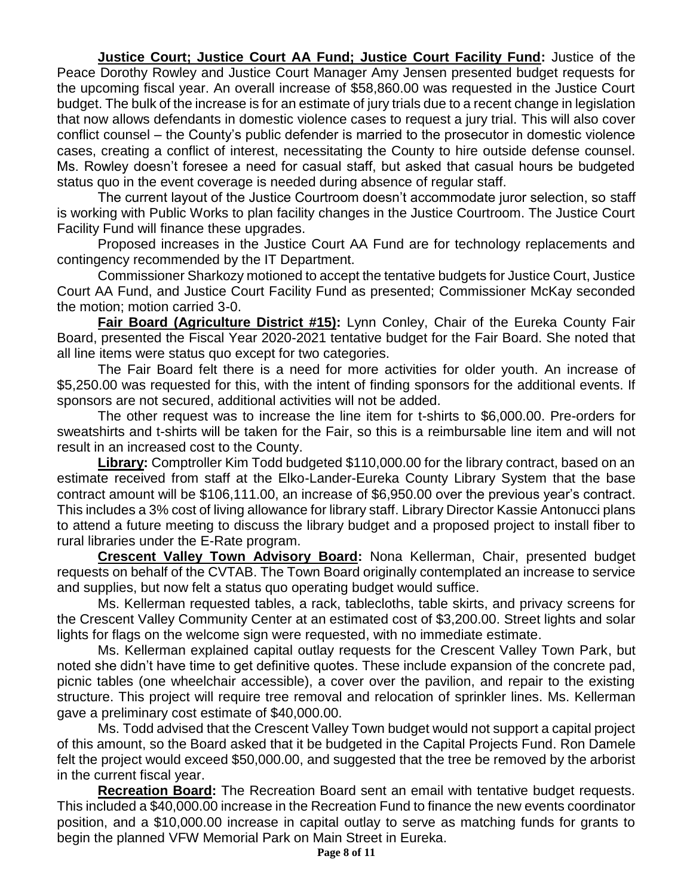**Justice Court; Justice Court AA Fund; Justice Court Facility Fund:** Justice of the Peace Dorothy Rowley and Justice Court Manager Amy Jensen presented budget requests for the upcoming fiscal year. An overall increase of \$58,860.00 was requested in the Justice Court budget. The bulk of the increase is for an estimate of jury trials due to a recent change in legislation that now allows defendants in domestic violence cases to request a jury trial. This will also cover conflict counsel – the County's public defender is married to the prosecutor in domestic violence cases, creating a conflict of interest, necessitating the County to hire outside defense counsel. Ms. Rowley doesn't foresee a need for casual staff, but asked that casual hours be budgeted status quo in the event coverage is needed during absence of regular staff.

The current layout of the Justice Courtroom doesn't accommodate juror selection, so staff is working with Public Works to plan facility changes in the Justice Courtroom. The Justice Court Facility Fund will finance these upgrades.

Proposed increases in the Justice Court AA Fund are for technology replacements and contingency recommended by the IT Department.

Commissioner Sharkozy motioned to accept the tentative budgets for Justice Court, Justice Court AA Fund, and Justice Court Facility Fund as presented; Commissioner McKay seconded the motion; motion carried 3-0.

**Fair Board (Agriculture District #15):** Lynn Conley, Chair of the Eureka County Fair Board, presented the Fiscal Year 2020-2021 tentative budget for the Fair Board. She noted that all line items were status quo except for two categories.

The Fair Board felt there is a need for more activities for older youth. An increase of \$5,250.00 was requested for this, with the intent of finding sponsors for the additional events. If sponsors are not secured, additional activities will not be added.

The other request was to increase the line item for t-shirts to \$6,000.00. Pre-orders for sweatshirts and t-shirts will be taken for the Fair, so this is a reimbursable line item and will not result in an increased cost to the County.

**Library:** Comptroller Kim Todd budgeted \$110,000.00 for the library contract, based on an estimate received from staff at the Elko-Lander-Eureka County Library System that the base contract amount will be \$106,111.00, an increase of \$6,950.00 over the previous year's contract. This includes a 3% cost of living allowance for library staff. Library Director Kassie Antonucci plans to attend a future meeting to discuss the library budget and a proposed project to install fiber to rural libraries under the E-Rate program.

**Crescent Valley Town Advisory Board:** Nona Kellerman, Chair, presented budget requests on behalf of the CVTAB. The Town Board originally contemplated an increase to service and supplies, but now felt a status quo operating budget would suffice.

Ms. Kellerman requested tables, a rack, tablecloths, table skirts, and privacy screens for the Crescent Valley Community Center at an estimated cost of \$3,200.00. Street lights and solar lights for flags on the welcome sign were requested, with no immediate estimate.

Ms. Kellerman explained capital outlay requests for the Crescent Valley Town Park, but noted she didn't have time to get definitive quotes. These include expansion of the concrete pad, picnic tables (one wheelchair accessible), a cover over the pavilion, and repair to the existing structure. This project will require tree removal and relocation of sprinkler lines. Ms. Kellerman gave a preliminary cost estimate of \$40,000.00.

Ms. Todd advised that the Crescent Valley Town budget would not support a capital project of this amount, so the Board asked that it be budgeted in the Capital Projects Fund. Ron Damele felt the project would exceed \$50,000.00, and suggested that the tree be removed by the arborist in the current fiscal year.

**Recreation Board:** The Recreation Board sent an email with tentative budget requests. This included a \$40,000.00 increase in the Recreation Fund to finance the new events coordinator position, and a \$10,000.00 increase in capital outlay to serve as matching funds for grants to begin the planned VFW Memorial Park on Main Street in Eureka.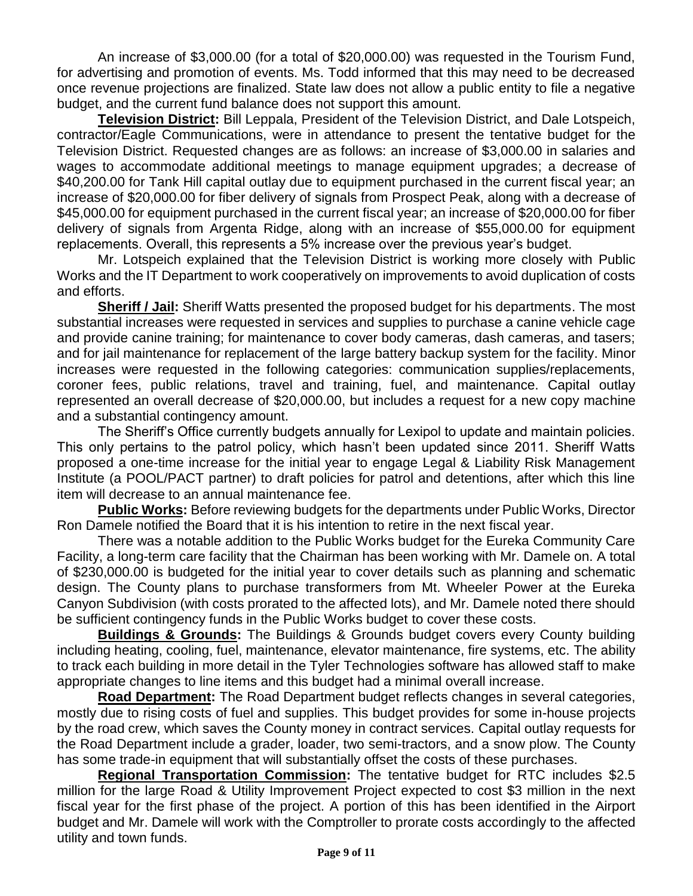An increase of \$3,000.00 (for a total of \$20,000.00) was requested in the Tourism Fund, for advertising and promotion of events. Ms. Todd informed that this may need to be decreased once revenue projections are finalized. State law does not allow a public entity to file a negative budget, and the current fund balance does not support this amount.

**Television District:** Bill Leppala, President of the Television District, and Dale Lotspeich, contractor/Eagle Communications, were in attendance to present the tentative budget for the Television District. Requested changes are as follows: an increase of \$3,000.00 in salaries and wages to accommodate additional meetings to manage equipment upgrades; a decrease of \$40,200.00 for Tank Hill capital outlay due to equipment purchased in the current fiscal year; an increase of \$20,000.00 for fiber delivery of signals from Prospect Peak, along with a decrease of \$45,000.00 for equipment purchased in the current fiscal year; an increase of \$20,000.00 for fiber delivery of signals from Argenta Ridge, along with an increase of \$55,000.00 for equipment replacements. Overall, this represents a 5% increase over the previous year's budget.

Mr. Lotspeich explained that the Television District is working more closely with Public Works and the IT Department to work cooperatively on improvements to avoid duplication of costs and efforts.

**Sheriff / Jail:** Sheriff Watts presented the proposed budget for his departments. The most substantial increases were requested in services and supplies to purchase a canine vehicle cage and provide canine training; for maintenance to cover body cameras, dash cameras, and tasers; and for jail maintenance for replacement of the large battery backup system for the facility. Minor increases were requested in the following categories: communication supplies/replacements, coroner fees, public relations, travel and training, fuel, and maintenance. Capital outlay represented an overall decrease of \$20,000.00, but includes a request for a new copy machine and a substantial contingency amount.

The Sheriff's Office currently budgets annually for Lexipol to update and maintain policies. This only pertains to the patrol policy, which hasn't been updated since 2011. Sheriff Watts proposed a one-time increase for the initial year to engage Legal & Liability Risk Management Institute (a POOL/PACT partner) to draft policies for patrol and detentions, after which this line item will decrease to an annual maintenance fee.

**Public Works:** Before reviewing budgets for the departments under Public Works, Director Ron Damele notified the Board that it is his intention to retire in the next fiscal year.

There was a notable addition to the Public Works budget for the Eureka Community Care Facility, a long-term care facility that the Chairman has been working with Mr. Damele on. A total of \$230,000.00 is budgeted for the initial year to cover details such as planning and schematic design. The County plans to purchase transformers from Mt. Wheeler Power at the Eureka Canyon Subdivision (with costs prorated to the affected lots), and Mr. Damele noted there should be sufficient contingency funds in the Public Works budget to cover these costs.

**Buildings & Grounds:** The Buildings & Grounds budget covers every County building including heating, cooling, fuel, maintenance, elevator maintenance, fire systems, etc. The ability to track each building in more detail in the Tyler Technologies software has allowed staff to make appropriate changes to line items and this budget had a minimal overall increase.

**Road Department:** The Road Department budget reflects changes in several categories, mostly due to rising costs of fuel and supplies. This budget provides for some in-house projects by the road crew, which saves the County money in contract services. Capital outlay requests for the Road Department include a grader, loader, two semi-tractors, and a snow plow. The County has some trade-in equipment that will substantially offset the costs of these purchases.

**Regional Transportation Commission:** The tentative budget for RTC includes \$2.5 million for the large Road & Utility Improvement Project expected to cost \$3 million in the next fiscal year for the first phase of the project. A portion of this has been identified in the Airport budget and Mr. Damele will work with the Comptroller to prorate costs accordingly to the affected utility and town funds.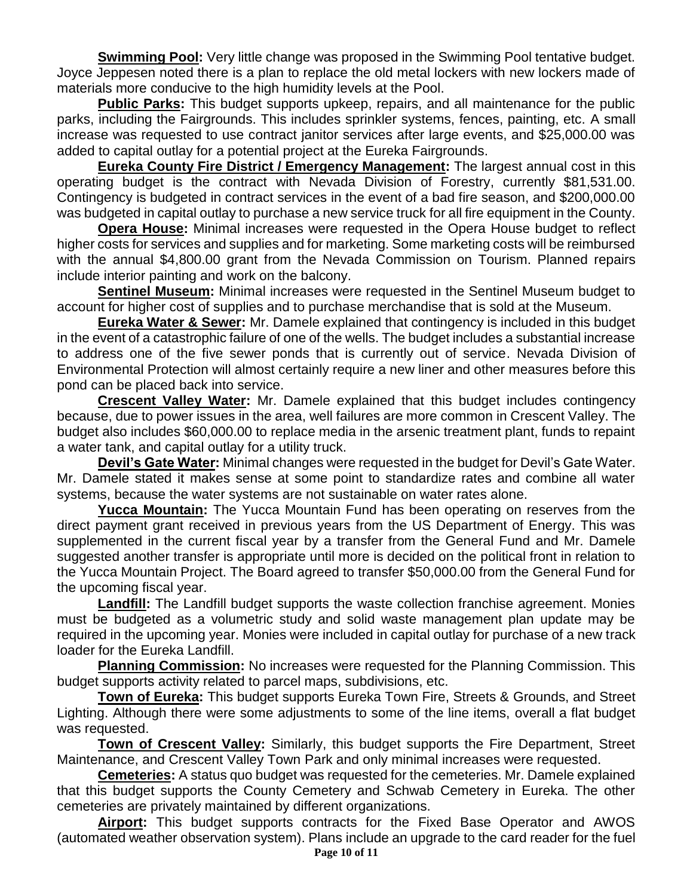**Swimming Pool:** Very little change was proposed in the Swimming Pool tentative budget. Joyce Jeppesen noted there is a plan to replace the old metal lockers with new lockers made of materials more conducive to the high humidity levels at the Pool.

**Public Parks:** This budget supports upkeep, repairs, and all maintenance for the public parks, including the Fairgrounds. This includes sprinkler systems, fences, painting, etc. A small increase was requested to use contract janitor services after large events, and \$25,000.00 was added to capital outlay for a potential project at the Eureka Fairgrounds.

**Eureka County Fire District / Emergency Management:** The largest annual cost in this operating budget is the contract with Nevada Division of Forestry, currently \$81,531.00. Contingency is budgeted in contract services in the event of a bad fire season, and \$200,000.00 was budgeted in capital outlay to purchase a new service truck for all fire equipment in the County.

**Opera House:** Minimal increases were requested in the Opera House budget to reflect higher costs for services and supplies and for marketing. Some marketing costs will be reimbursed with the annual \$4,800.00 grant from the Nevada Commission on Tourism. Planned repairs include interior painting and work on the balcony.

**Sentinel Museum:** Minimal increases were requested in the Sentinel Museum budget to account for higher cost of supplies and to purchase merchandise that is sold at the Museum.

**Eureka Water & Sewer:** Mr. Damele explained that contingency is included in this budget in the event of a catastrophic failure of one of the wells. The budget includes a substantial increase to address one of the five sewer ponds that is currently out of service. Nevada Division of Environmental Protection will almost certainly require a new liner and other measures before this pond can be placed back into service.

**Crescent Valley Water:** Mr. Damele explained that this budget includes contingency because, due to power issues in the area, well failures are more common in Crescent Valley. The budget also includes \$60,000.00 to replace media in the arsenic treatment plant, funds to repaint a water tank, and capital outlay for a utility truck.

**Devil's Gate Water:** Minimal changes were requested in the budget for Devil's Gate Water. Mr. Damele stated it makes sense at some point to standardize rates and combine all water systems, because the water systems are not sustainable on water rates alone.

**Yucca Mountain:** The Yucca Mountain Fund has been operating on reserves from the direct payment grant received in previous years from the US Department of Energy. This was supplemented in the current fiscal year by a transfer from the General Fund and Mr. Damele suggested another transfer is appropriate until more is decided on the political front in relation to the Yucca Mountain Project. The Board agreed to transfer \$50,000.00 from the General Fund for the upcoming fiscal year.

Landfill: The Landfill budget supports the waste collection franchise agreement. Monies must be budgeted as a volumetric study and solid waste management plan update may be required in the upcoming year. Monies were included in capital outlay for purchase of a new track loader for the Eureka Landfill.

**Planning Commission:** No increases were requested for the Planning Commission. This budget supports activity related to parcel maps, subdivisions, etc.

**Town of Eureka:** This budget supports Eureka Town Fire, Streets & Grounds, and Street Lighting. Although there were some adjustments to some of the line items, overall a flat budget was requested.

**Town of Crescent Valley:** Similarly, this budget supports the Fire Department, Street Maintenance, and Crescent Valley Town Park and only minimal increases were requested.

**Cemeteries:** A status quo budget was requested for the cemeteries. Mr. Damele explained that this budget supports the County Cemetery and Schwab Cemetery in Eureka. The other cemeteries are privately maintained by different organizations.

**Page 10 of 11 Airport:** This budget supports contracts for the Fixed Base Operator and AWOS (automated weather observation system). Plans include an upgrade to the card reader for the fuel